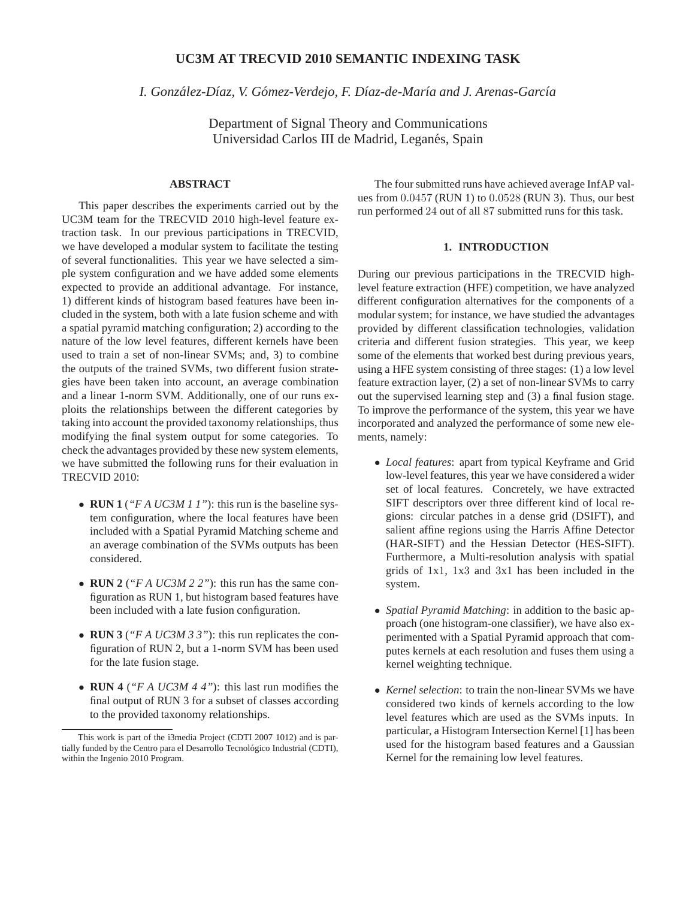# **UC3M AT TRECVID 2010 SEMANTIC INDEXING TASK**

*I. Gonzalez-D ´ ´ıaz, V. Gomez-Verdejo, F. D ´ ´ıaz-de-Mar´ıa and J. Arenas-Garc´ıa*

Department of Signal Theory and Communications Universidad Carlos III de Madrid, Leganés, Spain

## **ABSTRACT**

This paper describes the experiments carried out by the UC3M team for the TRECVID 2010 high-level feature extraction task. In our previous participations in TRECVID, we have developed a modular system to facilitate the testing of several functionalities. This year we have selected a simple system configuration and we have added some elements expected to provide an additional advantage. For instance, 1) different kinds of histogram based features have been included in the system, both with a late fusion scheme and with a spatial pyramid matching configuration; 2) according to the nature of the low level features, different kernels have been used to train a set of non-linear SVMs; and, 3) to combine the outputs of the trained SVMs, two different fusion strategies have been taken into account, an average combination and a linear 1-norm SVM. Additionally, one of our runs exploits the relationships between the different categories by taking into account the provided taxonomy relationships, thus modifying the final system output for some categories. To check the advantages provided by these new system elements, we have submitted the following runs for their evaluation in TRECVID 2010:

- **RUN 1** (*"F A UC3M 1 1"*): this run is the baseline system configuration, where the local features have been included with a Spatial Pyramid Matching scheme and an average combination of the SVMs outputs has been considered.
- **RUN 2** (*"F A UC3M 2 2"*): this run has the same configuration as RUN 1, but histogram based features have been included with a late fusion configuration.
- **RUN 3** (*"F A UC3M 3 3"*): this run replicates the configuration of RUN 2, but a 1-norm SVM has been used for the late fusion stage.
- **RUN 4** (*"F A UC3M 4 4"*): this last run modifies the final output of RUN 3 for a subset of classes according to the provided taxonomy relationships.

The four submitted runs have achieved average InfAP values from 0.0457 (RUN 1) to 0.0528 (RUN 3). Thus, our best run performed 24 out of all 87 submitted runs for this task.

### **1. INTRODUCTION**

During our previous participations in the TRECVID highlevel feature extraction (HFE) competition, we have analyzed different configuration alternatives for the components of a modular system; for instance, we have studied the advantages provided by different classification technologies, validation criteria and different fusion strategies. This year, we keep some of the elements that worked best during previous years, using a HFE system consisting of three stages: (1) a low level feature extraction layer, (2) a set of non-linear SVMs to carry out the supervised learning step and (3) a final fusion stage. To improve the performance of the system, this year we have incorporated and analyzed the performance of some new elements, namely:

- *Local features*: apart from typical Keyframe and Grid low-level features, this year we have considered a wider set of local features. Concretely, we have extracted SIFT descriptors over three different kind of local regions: circular patches in a dense grid (DSIFT), and salient affine regions using the Harris Affine Detector (HAR-SIFT) and the Hessian Detector (HES-SIFT). Furthermore, a Multi-resolution analysis with spatial grids of 1x1, 1x3 and 3x1 has been included in the system.
- *Spatial Pyramid Matching*: in addition to the basic approach (one histogram-one classifier), we have also experimented with a Spatial Pyramid approach that computes kernels at each resolution and fuses them using a kernel weighting technique.
- *Kernel selection*: to train the non-linear SVMs we have considered two kinds of kernels according to the low level features which are used as the SVMs inputs. In particular, a Histogram Intersection Kernel [1] has been used for the histogram based features and a Gaussian Kernel for the remaining low level features.

This work is part of the i3media Project (CDTI 2007 1012) and is partially funded by the Centro para el Desarrollo Tecnológico Industrial (CDTI), within the Ingenio 2010 Program.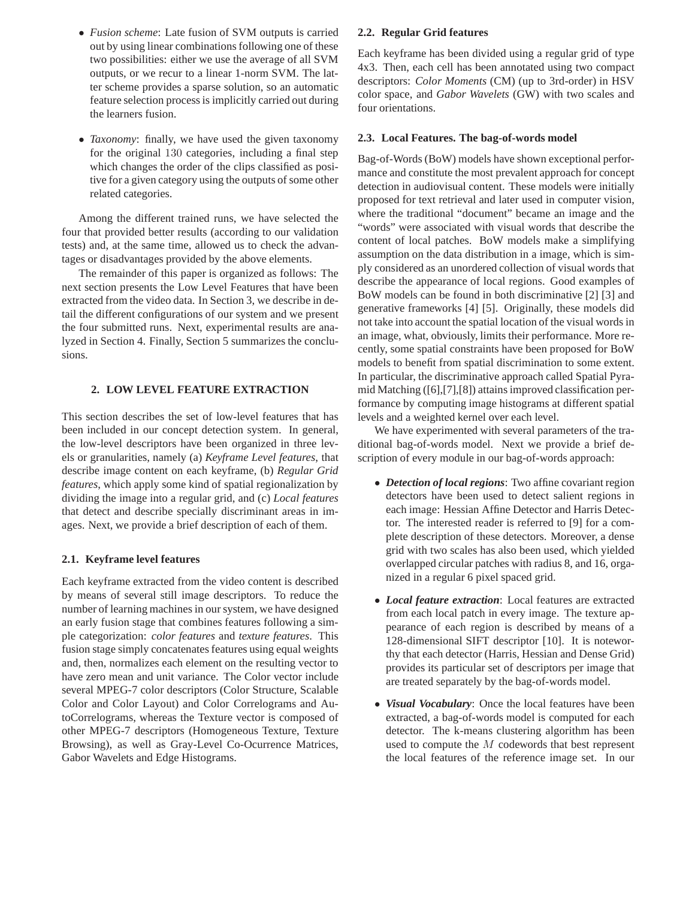- *Fusion scheme*: Late fusion of SVM outputs is carried out by using linear combinations following one of these two possibilities: either we use the average of all SVM outputs, or we recur to a linear 1-norm SVM. The latter scheme provides a sparse solution, so an automatic feature selection process is implicitly carried out during the learners fusion.
- *Taxonomy*: finally, we have used the given taxonomy for the original 130 categories, including a final step which changes the order of the clips classified as positive for a given category using the outputs of some other related categories.

Among the different trained runs, we have selected the four that provided better results (according to our validation tests) and, at the same time, allowed us to check the advantages or disadvantages provided by the above elements.

The remainder of this paper is organized as follows: The next section presents the Low Level Features that have been extracted from the video data. In Section 3, we describe in detail the different configurations of our system and we present the four submitted runs. Next, experimental results are analyzed in Section 4. Finally, Section 5 summarizes the conclusions.

## **2. LOW LEVEL FEATURE EXTRACTION**

This section describes the set of low-level features that has been included in our concept detection system. In general, the low-level descriptors have been organized in three levels or granularities, namely (a) *Keyframe Level features*, that describe image content on each keyframe, (b) *Regular Grid features*, which apply some kind of spatial regionalization by dividing the image into a regular grid, and (c) *Local features* that detect and describe specially discriminant areas in images. Next, we provide a brief description of each of them.

# **2.1. Keyframe level features**

Each keyframe extracted from the video content is described by means of several still image descriptors. To reduce the number of learning machines in our system, we have designed an early fusion stage that combines features following a simple categorization: *color features* and *texture features*. This fusion stage simply concatenates features using equal weights and, then, normalizes each element on the resulting vector to have zero mean and unit variance. The Color vector include several MPEG-7 color descriptors (Color Structure, Scalable Color and Color Layout) and Color Correlograms and AutoCorrelograms, whereas the Texture vector is composed of other MPEG-7 descriptors (Homogeneous Texture, Texture Browsing), as well as Gray-Level Co-Ocurrence Matrices, Gabor Wavelets and Edge Histograms.

### **2.2. Regular Grid features**

Each keyframe has been divided using a regular grid of type 4x3. Then, each cell has been annotated using two compact descriptors: *Color Moments* (CM) (up to 3rd-order) in HSV color space, and *Gabor Wavelets* (GW) with two scales and four orientations.

## **2.3. Local Features. The bag-of-words model**

Bag-of-Words (BoW) models have shown exceptional performance and constitute the most prevalent approach for concept detection in audiovisual content. These models were initially proposed for text retrieval and later used in computer vision, where the traditional "document" became an image and the "words" were associated with visual words that describe the content of local patches. BoW models make a simplifying assumption on the data distribution in a image, which is simply considered as an unordered collection of visual words that describe the appearance of local regions. Good examples of BoW models can be found in both discriminative [2] [3] and generative frameworks [4] [5]. Originally, these models did not take into account the spatial location of the visual words in an image, what, obviously, limits their performance. More recently, some spatial constraints have been proposed for BoW models to benefit from spatial discrimination to some extent. In particular, the discriminative approach called Spatial Pyramid Matching ([6],[7],[8]) attains improved classification performance by computing image histograms at different spatial levels and a weighted kernel over each level.

We have experimented with several parameters of the traditional bag-of-words model. Next we provide a brief description of every module in our bag-of-words approach:

- *Detection of local regions*: Two affine covariant region detectors have been used to detect salient regions in each image: Hessian Affine Detector and Harris Detector. The interested reader is referred to [9] for a complete description of these detectors. Moreover, a dense grid with two scales has also been used, which yielded overlapped circular patches with radius 8, and 16, organized in a regular 6 pixel spaced grid.
- *Local feature extraction*: Local features are extracted from each local patch in every image. The texture appearance of each region is described by means of a 128-dimensional SIFT descriptor [10]. It is noteworthy that each detector (Harris, Hessian and Dense Grid) provides its particular set of descriptors per image that are treated separately by the bag-of-words model.
- *Visual Vocabulary*: Once the local features have been extracted, a bag-of-words model is computed for each detector. The k-means clustering algorithm has been used to compute the M codewords that best represent the local features of the reference image set. In our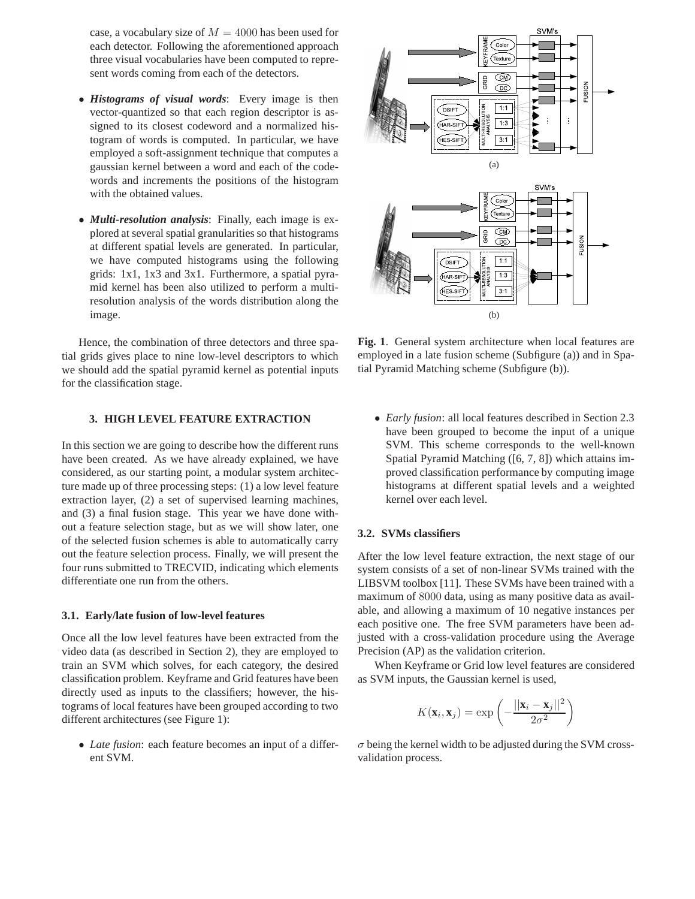case, a vocabulary size of  $M = 4000$  has been used for each detector. Following the aforementioned approach three visual vocabularies have been computed to represent words coming from each of the detectors.

- *Histograms of visual words*: Every image is then vector-quantized so that each region descriptor is assigned to its closest codeword and a normalized histogram of words is computed. In particular, we have employed a soft-assignment technique that computes a gaussian kernel between a word and each of the codewords and increments the positions of the histogram with the obtained values.
- *Multi-resolution analysis*: Finally, each image is explored at several spatial granularities so that histograms at different spatial levels are generated. In particular, we have computed histograms using the following grids: 1x1, 1x3 and 3x1. Furthermore, a spatial pyramid kernel has been also utilized to perform a multiresolution analysis of the words distribution along the image.

Hence, the combination of three detectors and three spatial grids gives place to nine low-level descriptors to which we should add the spatial pyramid kernel as potential inputs for the classification stage.

## **3. HIGH LEVEL FEATURE EXTRACTION**

In this section we are going to describe how the different runs have been created. As we have already explained, we have considered, as our starting point, a modular system architecture made up of three processing steps: (1) a low level feature extraction layer, (2) a set of supervised learning machines, and (3) a final fusion stage. This year we have done without a feature selection stage, but as we will show later, one of the selected fusion schemes is able to automatically carry out the feature selection process. Finally, we will present the four runs submitted to TRECVID, indicating which elements differentiate one run from the others.

#### **3.1. Early/late fusion of low-level features**

Once all the low level features have been extracted from the video data (as described in Section 2), they are employed to train an SVM which solves, for each category, the desired classification problem. Keyframe and Grid features have been directly used as inputs to the classifiers; however, the histograms of local features have been grouped according to two different architectures (see Figure 1):

• *Late fusion*: each feature becomes an input of a different SVM.



**Fig. 1**. General system architecture when local features are employed in a late fusion scheme (Subfigure (a)) and in Spatial Pyramid Matching scheme (Subfigure (b)).

• *Early fusion*: all local features described in Section 2.3 have been grouped to become the input of a unique SVM. This scheme corresponds to the well-known Spatial Pyramid Matching ([6, 7, 8]) which attains improved classification performance by computing image histograms at different spatial levels and a weighted kernel over each level.

### **3.2. SVMs classifiers**

After the low level feature extraction, the next stage of our system consists of a set of non-linear SVMs trained with the LIBSVM toolbox [11]. These SVMs have been trained with a maximum of 8000 data, using as many positive data as available, and allowing a maximum of 10 negative instances per each positive one. The free SVM parameters have been adjusted with a cross-validation procedure using the Average Precision (AP) as the validation criterion.

When Keyframe or Grid low level features are considered as SVM inputs, the Gaussian kernel is used,

$$
K(\mathbf{x}_i, \mathbf{x}_j) = \exp\left(-\frac{||\mathbf{x}_i - \mathbf{x}_j||^2}{2\sigma^2}\right)
$$

 $\sigma$  being the kernel width to be adjusted during the SVM crossvalidation process.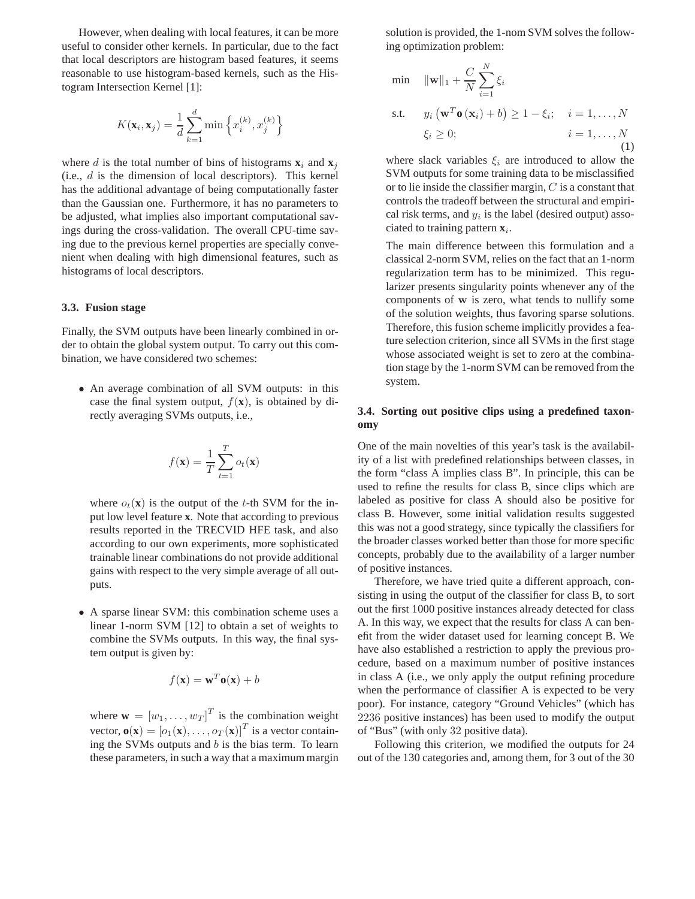However, when dealing with local features, it can be more useful to consider other kernels. In particular, due to the fact that local descriptors are histogram based features, it seems reasonable to use histogram-based kernels, such as the Histogram Intersection Kernel [1]:

$$
K(\mathbf{x}_i, \mathbf{x}_j) = \frac{1}{d} \sum_{k=1}^d \min \left\{ x_i^{(k)}, x_j^{(k)} \right\}
$$

where d is the total number of bins of histograms  $\mathbf{x}_i$  and  $\mathbf{x}_j$ (i.e.,  $d$  is the dimension of local descriptors). This kernel has the additional advantage of being computationally faster than the Gaussian one. Furthermore, it has no parameters to be adjusted, what implies also important computational savings during the cross-validation. The overall CPU-time saving due to the previous kernel properties are specially convenient when dealing with high dimensional features, such as histograms of local descriptors.

#### **3.3. Fusion stage**

Finally, the SVM outputs have been linearly combined in order to obtain the global system output. To carry out this combination, we have considered two schemes:

• An average combination of all SVM outputs: in this case the final system output,  $f(\mathbf{x})$ , is obtained by directly averaging SVMs outputs, i.e.,

$$
f(\mathbf{x}) = \frac{1}{T} \sum_{t=1}^{T} o_t(\mathbf{x})
$$

where  $o_t(\mathbf{x})$  is the output of the t-th SVM for the input low level feature **x**. Note that according to previous results reported in the TRECVID HFE task, and also according to our own experiments, more sophisticated trainable linear combinations do not provide additional gains with respect to the very simple average of all outputs.

• A sparse linear SVM: this combination scheme uses a linear 1-norm SVM [12] to obtain a set of weights to combine the SVMs outputs. In this way, the final system output is given by:

$$
f(\mathbf{x}) = \mathbf{w}^T \mathbf{o}(\mathbf{x}) + b
$$

where  $\mathbf{w} = [w_1, \dots, w_T]^T$  is the combination weight vector,  $\mathbf{o}(\mathbf{x}) = [o_1(\mathbf{x}), \dots, o_T(\mathbf{x})]^T$  is a vector containing the SVMs outputs and  $b$  is the bias term. To learn these parameters, in such a way that a maximum margin solution is provided, the 1-nom SVM solves the following optimization problem:

$$
\begin{aligned}\n\min & \quad \|\mathbf{w}\|_1 + \frac{C}{N} \sum_{i=1}^N \xi_i \\
\text{s.t.} & \quad y_i \left(\mathbf{w}^T \mathbf{o} \left(\mathbf{x}_i\right) + b\right) \ge 1 - \xi_i; \quad i = 1, \dots, N \\
&\quad \xi_i \ge 0; \quad i = 1, \dots, N \\
&\quad (1)\n\end{aligned}
$$

where slack variables  $\xi_i$  are introduced to allow the SVM outputs for some training data to be misclassified or to lie inside the classifier margin,  $C$  is a constant that controls the tradeoff between the structural and empirical risk terms, and  $y_i$  is the label (desired output) associated to training pattern  $\mathbf{x}_i$ .

The main difference between this formulation and a classical 2-norm SVM, relies on the fact that an 1-norm regularization term has to be minimized. This regularizer presents singularity points whenever any of the components of w is zero, what tends to nullify some of the solution weights, thus favoring sparse solutions. Therefore, this fusion scheme implicitly provides a feature selection criterion, since all SVMs in the first stage whose associated weight is set to zero at the combination stage by the 1-norm SVM can be removed from the system.

## **3.4. Sorting out positive clips using a predefined taxonomy**

One of the main novelties of this year's task is the availability of a list with predefined relationships between classes, in the form "class A implies class B". In principle, this can be used to refine the results for class B, since clips which are labeled as positive for class A should also be positive for class B. However, some initial validation results suggested this was not a good strategy, since typically the classifiers for the broader classes worked better than those for more specific concepts, probably due to the availability of a larger number of positive instances.

Therefore, we have tried quite a different approach, consisting in using the output of the classifier for class B, to sort out the first 1000 positive instances already detected for class A. In this way, we expect that the results for class A can benefit from the wider dataset used for learning concept B. We have also established a restriction to apply the previous procedure, based on a maximum number of positive instances in class A (i.e., we only apply the output refining procedure when the performance of classifier A is expected to be very poor). For instance, category "Ground Vehicles" (which has 2236 positive instances) has been used to modify the output of "Bus" (with only 32 positive data).

Following this criterion, we modified the outputs for 24 out of the 130 categories and, among them, for 3 out of the 30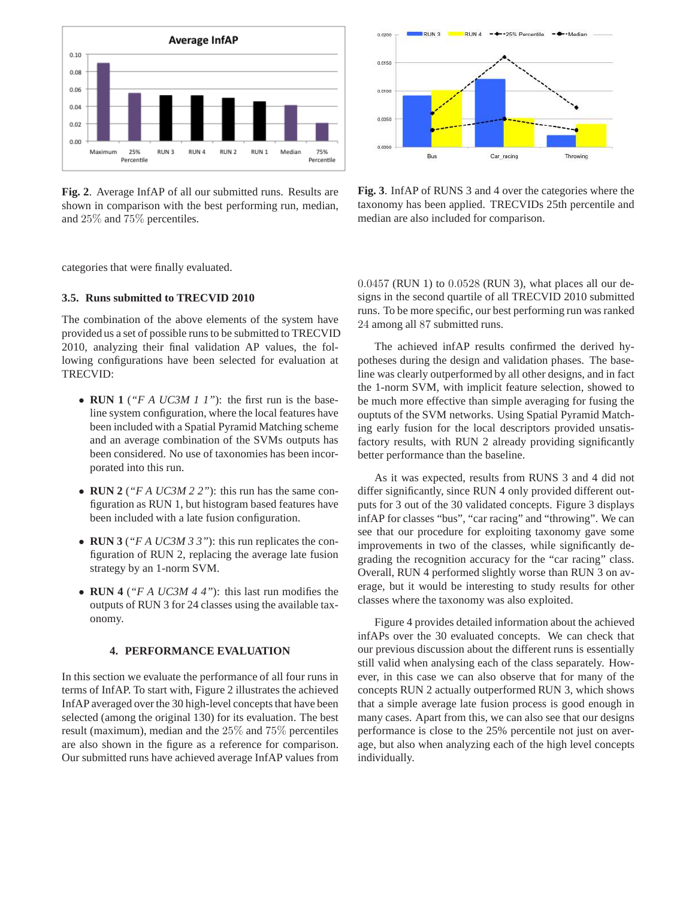

**Fig. 2**. Average InfAP of all our submitted runs. Results are shown in comparison with the best performing run, median, and 25% and 75% percentiles.

categories that were finally evaluated.

## **3.5. Runs submitted to TRECVID 2010**

The combination of the above elements of the system have provided us a set of possible runs to be submitted to TRECVID 2010, analyzing their final validation AP values, the following configurations have been selected for evaluation at TRECVID:

- **RUN 1** (*"F A UC3M 1 1"*): the first run is the baseline system configuration, where the local features have been included with a Spatial Pyramid Matching scheme and an average combination of the SVMs outputs has been considered. No use of taxonomies has been incorporated into this run.
- **RUN 2** (*"F A UC3M 2 2"*): this run has the same configuration as RUN 1, but histogram based features have been included with a late fusion configuration.
- **RUN 3** (*"F A UC3M 3 3"*): this run replicates the configuration of RUN 2, replacing the average late fusion strategy by an 1-norm SVM.
- **RUN 4** (*"F A UC3M 4 4"*): this last run modifies the outputs of RUN 3 for 24 classes using the available taxonomy.

## **4. PERFORMANCE EVALUATION**

In this section we evaluate the performance of all four runs in terms of InfAP. To start with, Figure 2 illustrates the achieved InfAP averaged over the 30 high-level concepts that have been selected (among the original 130) for its evaluation. The best result (maximum), median and the 25% and 75% percentiles are also shown in the figure as a reference for comparison. Our submitted runs have achieved average InfAP values from



**Fig. 3**. InfAP of RUNS 3 and 4 over the categories where the taxonomy has been applied. TRECVIDs 25th percentile and median are also included for comparison.

0.0457 (RUN 1) to 0.0528 (RUN 3), what places all our designs in the second quartile of all TRECVID 2010 submitted runs. To be more specific, our best performing run was ranked 24 among all 87 submitted runs.

The achieved infAP results confirmed the derived hypotheses during the design and validation phases. The baseline was clearly outperformed by all other designs, and in fact the 1-norm SVM, with implicit feature selection, showed to be much more effective than simple averaging for fusing the ouptuts of the SVM networks. Using Spatial Pyramid Matching early fusion for the local descriptors provided unsatisfactory results, with RUN 2 already providing significantly better performance than the baseline.

As it was expected, results from RUNS 3 and 4 did not differ significantly, since RUN 4 only provided different outputs for 3 out of the 30 validated concepts. Figure 3 displays infAP for classes "bus", "car racing" and "throwing". We can see that our procedure for exploiting taxonomy gave some improvements in two of the classes, while significantly degrading the recognition accuracy for the "car racing" class. Overall, RUN 4 performed slightly worse than RUN 3 on average, but it would be interesting to study results for other classes where the taxonomy was also exploited.

Figure 4 provides detailed information about the achieved infAPs over the 30 evaluated concepts. We can check that our previous discussion about the different runs is essentially still valid when analysing each of the class separately. However, in this case we can also observe that for many of the concepts RUN 2 actually outperformed RUN 3, which shows that a simple average late fusion process is good enough in many cases. Apart from this, we can also see that our designs performance is close to the 25% percentile not just on average, but also when analyzing each of the high level concepts individually.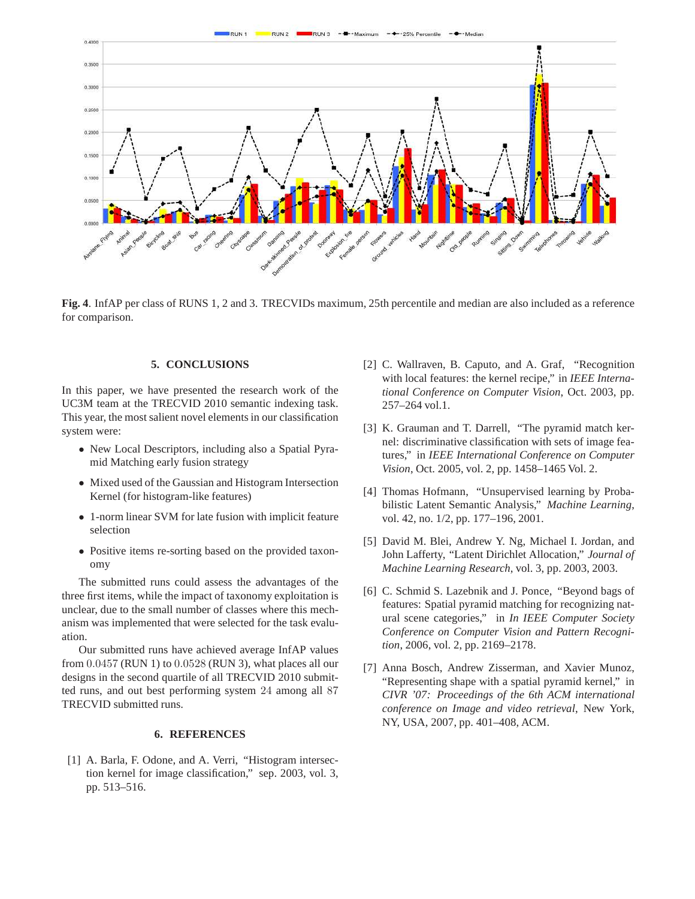RUN 1 RUN 2 RUN 3  $+$  - 25% Percentile +Maximum



**Fig. 4**. InfAP per class of RUNS 1, 2 and 3. TRECVIDs maximum, 25th percentile and median are also included as a reference for comparison.

### **5. CONCLUSIONS**

In this paper, we have presented the research work of the UC3M team at the TRECVID 2010 semantic indexing task. This year, the most salient novel elements in our classification system were:

- New Local Descriptors, including also a Spatial Pyramid Matching early fusion strategy
- Mixed used of the Gaussian and Histogram Intersection Kernel (for histogram-like features)
- 1-norm linear SVM for late fusion with implicit feature selection
- Positive items re-sorting based on the provided taxonomy

The submitted runs could assess the advantages of the three first items, while the impact of taxonomy exploitation is unclear, due to the small number of classes where this mechanism was implemented that were selected for the task evaluation.

Our submitted runs have achieved average InfAP values from 0.0457 (RUN 1) to 0.0528 (RUN 3), what places all our designs in the second quartile of all TRECVID 2010 submitted runs, and out best performing system 24 among all 87 TRECVID submitted runs.

## **6. REFERENCES**

[1] A. Barla, F. Odone, and A. Verri, "Histogram intersection kernel for image classification," sep. 2003, vol. 3, pp. 513–516.

- [2] C. Wallraven, B. Caputo, and A. Graf, "Recognition with local features: the kernel recipe," in *IEEE International Conference on Computer Vision*, Oct. 2003, pp. 257–264 vol.1.
- [3] K. Grauman and T. Darrell, "The pyramid match kernel: discriminative classification with sets of image features," in *IEEE International Conference on Computer Vision*, Oct. 2005, vol. 2, pp. 1458–1465 Vol. 2.
- [4] Thomas Hofmann, "Unsupervised learning by Probabilistic Latent Semantic Analysis," *Machine Learning*, vol. 42, no. 1/2, pp. 177–196, 2001.
- [5] David M. Blei, Andrew Y. Ng, Michael I. Jordan, and John Lafferty, "Latent Dirichlet Allocation," *Journal of Machine Learning Research*, vol. 3, pp. 2003, 2003.
- [6] C. Schmid S. Lazebnik and J. Ponce, "Beyond bags of features: Spatial pyramid matching for recognizing natural scene categories," in *In IEEE Computer Society Conference on Computer Vision and Pattern Recognition*, 2006, vol. 2, pp. 2169–2178.
- [7] Anna Bosch, Andrew Zisserman, and Xavier Munoz, "Representing shape with a spatial pyramid kernel," in *CIVR '07: Proceedings of the 6th ACM international conference on Image and video retrieval*, New York, NY, USA, 2007, pp. 401–408, ACM.